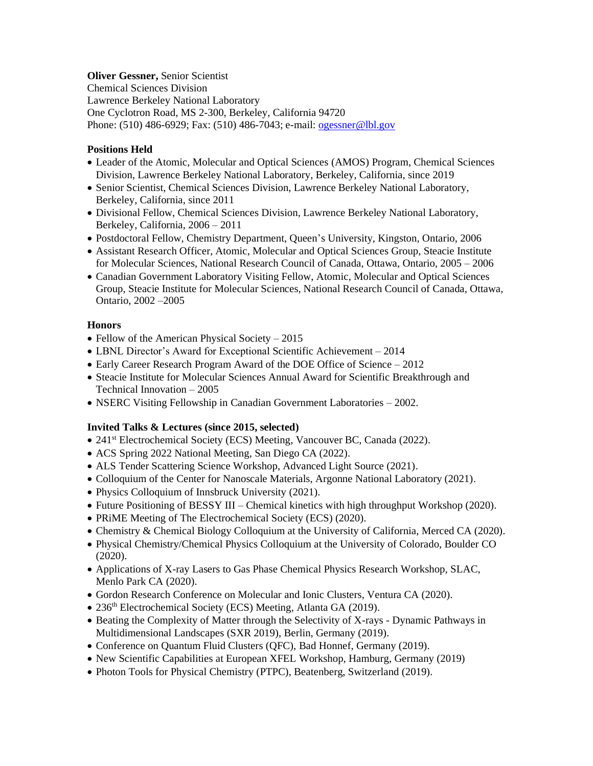### **Oliver Gessner,** Senior Scientist

Chemical Sciences Division Lawrence Berkeley National Laboratory One Cyclotron Road, MS 2-300, Berkeley, California 94720 Phone: (510) 486-6929; Fax: (510) 486-7043; e-mail[: ogessner@lbl.gov](mailto:ogessner@lbl.gov)

# **Positions Held**

- Leader of the Atomic, Molecular and Optical Sciences (AMOS) Program, Chemical Sciences Division, Lawrence Berkeley National Laboratory, Berkeley, California, since 2019
- Senior Scientist, Chemical Sciences Division, Lawrence Berkeley National Laboratory, Berkeley, California, since 2011
- Divisional Fellow, Chemical Sciences Division, Lawrence Berkeley National Laboratory, Berkeley, California, 2006 – 2011
- Postdoctoral Fellow, Chemistry Department, Queen's University, Kingston, Ontario, 2006
- Assistant Research Officer, Atomic, Molecular and Optical Sciences Group, Steacie Institute for Molecular Sciences, National Research Council of Canada, Ottawa, Ontario, 2005 – 2006
- Canadian Government Laboratory Visiting Fellow, Atomic, Molecular and Optical Sciences Group, Steacie Institute for Molecular Sciences, National Research Council of Canada, Ottawa, Ontario, 2002 –2005

# **Honors**

- Fellow of the American Physical Society 2015
- LBNL Director's Award for Exceptional Scientific Achievement 2014
- Early Career Research Program Award of the DOE Office of Science 2012
- Steacie Institute for Molecular Sciences Annual Award for Scientific Breakthrough and Technical Innovation – 2005
- NSERC Visiting Fellowship in Canadian Government Laboratories 2002.

# **Invited Talks & Lectures (since 2015, selected)**

- 241<sup>st</sup> Electrochemical Society (ECS) Meeting, Vancouver BC, Canada (2022).
- ACS Spring 2022 National Meeting, San Diego CA (2022).
- ALS Tender Scattering Science Workshop, Advanced Light Source (2021).
- Colloquium of the Center for Nanoscale Materials, Argonne National Laboratory (2021).
- Physics Colloquium of Innsbruck University (2021).
- Future Positioning of BESSY III Chemical kinetics with high throughput Workshop (2020).
- PRIME Meeting of The Electrochemical Society (ECS) (2020).
- Chemistry & Chemical Biology Colloquium at the University of California, Merced CA (2020).
- Physical Chemistry/Chemical Physics Colloquium at the University of Colorado, Boulder CO (2020).
- Applications of X-ray Lasers to Gas Phase Chemical Physics Research Workshop, SLAC, Menlo Park CA (2020).
- Gordon Research Conference on Molecular and Ionic Clusters, Ventura CA (2020).
- 236<sup>th</sup> Electrochemical Society (ECS) Meeting, Atlanta GA (2019).
- Beating the Complexity of Matter through the Selectivity of X-rays Dynamic Pathways in Multidimensional Landscapes (SXR 2019), Berlin, Germany (2019).
- Conference on Quantum Fluid Clusters (QFC), Bad Honnef, Germany (2019).
- New Scientific Capabilities at European XFEL Workshop, Hamburg, Germany (2019)
- Photon Tools for Physical Chemistry (PTPC), Beatenberg, Switzerland (2019).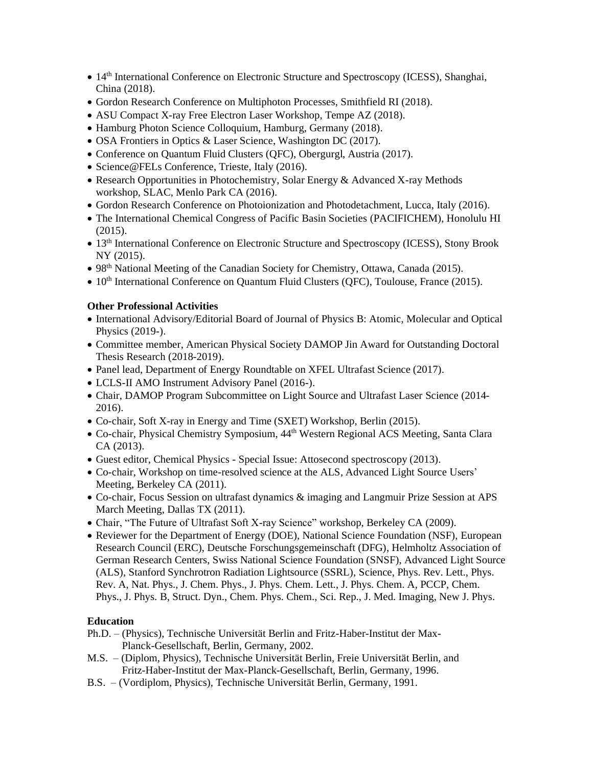- 14<sup>th</sup> International Conference on Electronic Structure and Spectroscopy (ICESS), Shanghai, China (2018).
- Gordon Research Conference on Multiphoton Processes, Smithfield RI (2018).
- ASU Compact X-ray Free Electron Laser Workshop, Tempe AZ (2018).
- Hamburg Photon Science Colloquium, Hamburg, Germany (2018).
- OSA Frontiers in Optics & Laser Science, Washington DC (2017).
- Conference on Quantum Fluid Clusters (QFC), Obergurgl, Austria (2017).
- Science@FELs Conference, Trieste, Italy (2016).
- Research Opportunities in Photochemistry, Solar Energy & Advanced X-ray Methods workshop, SLAC, Menlo Park CA (2016).
- Gordon Research Conference on Photoionization and Photodetachment, Lucca, Italy (2016).
- The International Chemical Congress of Pacific Basin Societies (PACIFICHEM), Honolulu HI (2015).
- 13<sup>th</sup> International Conference on Electronic Structure and Spectroscopy (ICESS), Stony Brook NY (2015).
- 98<sup>th</sup> National Meeting of the Canadian Society for Chemistry, Ottawa, Canada (2015).
- 10<sup>th</sup> International Conference on Quantum Fluid Clusters (QFC), Toulouse, France (2015).

#### **Other Professional Activities**

- International Advisory/Editorial Board of Journal of Physics B: Atomic, Molecular and Optical Physics (2019-).
- Committee member, American Physical Society DAMOP Jin Award for Outstanding Doctoral Thesis Research (2018-2019).
- Panel lead, Department of Energy Roundtable on XFEL Ultrafast Science (2017).
- LCLS-II AMO Instrument Advisory Panel (2016-).
- Chair, DAMOP Program Subcommittee on Light Source and Ultrafast Laser Science (2014-2016).
- Co-chair, Soft X-ray in Energy and Time (SXET) Workshop, Berlin (2015).
- Co-chair, Physical Chemistry Symposium,  $44<sup>th</sup>$  Western Regional ACS Meeting, Santa Clara CA (2013).
- Guest editor, Chemical Physics Special Issue: Attosecond spectroscopy (2013).
- Co-chair, Workshop on time-resolved science at the ALS, Advanced Light Source Users' Meeting, Berkeley CA (2011).
- Co-chair, Focus Session on ultrafast dynamics & imaging and Langmuir Prize Session at APS March Meeting, Dallas TX (2011).
- Chair, "The Future of Ultrafast Soft X-ray Science" workshop, Berkeley CA (2009).
- Reviewer for the Department of Energy (DOE), National Science Foundation (NSF), European Research Council (ERC), Deutsche Forschungsgemeinschaft (DFG), Helmholtz Association of German Research Centers, Swiss National Science Foundation (SNSF), Advanced Light Source (ALS), Stanford Synchrotron Radiation Lightsource (SSRL), Science, Phys. Rev. Lett., Phys. Rev. A, Nat. Phys., J. Chem. Phys., J. Phys. Chem. Lett., J. Phys. Chem. A, PCCP, Chem. Phys., J. Phys. B, Struct. Dyn., Chem. Phys. Chem., Sci. Rep., J. Med. Imaging, New J. Phys.

#### **Education**

- Ph.D. (Physics), Technische Universität Berlin and Fritz-Haber-Institut der Max-Planck-Gesellschaft, Berlin, Germany, 2002.
- M.S. (Diplom, Physics), Technische Universität Berlin, Freie Universität Berlin, and Fritz-Haber-Institut der Max-Planck-Gesellschaft, Berlin, Germany, 1996.
- B.S. (Vordiplom, Physics), Technische Universität Berlin, Germany, 1991.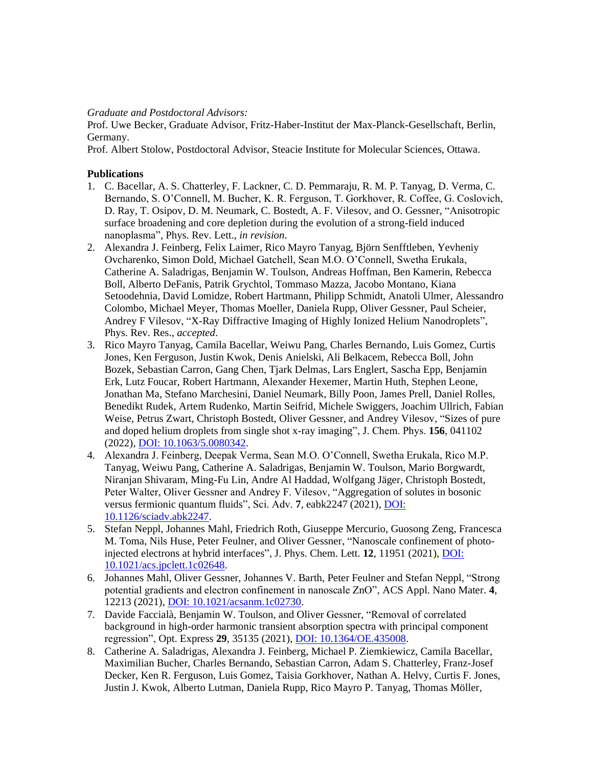*Graduate and Postdoctoral Advisors:* 

Prof. Uwe Becker, Graduate Advisor, Fritz-Haber-Institut der Max-Planck-Gesellschaft, Berlin, Germany.

Prof. Albert Stolow, Postdoctoral Advisor, Steacie Institute for Molecular Sciences, Ottawa.

### **Publications**

- 1. C. Bacellar, A. S. Chatterley, F. Lackner, C. D. Pemmaraju, R. M. P. Tanyag, D. Verma, C. Bernando, S. O'Connell, M. Bucher, K. R. Ferguson, T. Gorkhover, R. Coffee, G. Coslovich, D. Ray, T. Osipov, D. M. Neumark, C. Bostedt, A. F. Vilesov, and O. Gessner, "Anisotropic surface broadening and core depletion during the evolution of a strong-field induced nanoplasma", Phys. Rev. Lett., *in revision*.
- 2. Alexandra J. Feinberg, Felix Laimer, Rico Mayro Tanyag, Björn Senfftleben, Yevheniy Ovcharenko, Simon Dold, Michael Gatchell, Sean M.O. O'Connell, Swetha Erukala, Catherine A. Saladrigas, Benjamin W. Toulson, Andreas Hoffman, Ben Kamerin, Rebecca Boll, Alberto DeFanis, Patrik Grychtol, Tommaso Mazza, Jacobo Montano, Kiana Setoodehnia, David Lomidze, Robert Hartmann, Philipp Schmidt, Anatoli Ulmer, Alessandro Colombo, Michael Meyer, Thomas Moeller, Daniela Rupp, Oliver Gessner, Paul Scheier, Andrey F Vilesov, "X-Ray Diffractive Imaging of Highly Ionized Helium Nanodroplets", Phys. Rev. Res., *accepted*.
- 3. Rico Mayro Tanyag, Camila Bacellar, Weiwu Pang, Charles Bernando, Luis Gomez, Curtis Jones, Ken Ferguson, Justin Kwok, Denis Anielski, Ali Belkacem, Rebecca Boll, John Bozek, Sebastian Carron, Gang Chen, Tjark Delmas, Lars Englert, Sascha Epp, Benjamin Erk, Lutz Foucar, Robert Hartmann, Alexander Hexemer, Martin Huth, Stephen Leone, Jonathan Ma, Stefano Marchesini, Daniel Neumark, Billy Poon, James Prell, Daniel Rolles, Benedikt Rudek, Artem Rudenko, Martin Seifrid, Michele Swiggers, Joachim Ullrich, Fabian Weise, Petrus Zwart, Christoph Bostedt, Oliver Gessner, and Andrey Vilesov, "Sizes of pure and doped helium droplets from single shot x-ray imaging", J. Chem. Phys. **156**, 041102 (2022)*,* [DOI: 10.1063/5.0080342.](https://aip.scitation.org/doi/abs/10.1063/5.0080342)
- 4. Alexandra J. Feinberg, Deepak Verma, Sean M.O. O'Connell, Swetha Erukala, Rico M.P. Tanyag, Weiwu Pang, Catherine A. Saladrigas, Benjamin W. Toulson, Mario Borgwardt, Niranjan Shivaram, Ming-Fu Lin, Andre Al Haddad, Wolfgang Jäger, Christoph Bostedt, Peter Walter, Oliver Gessner and Andrey F. Vilesov, "Aggregation of solutes in bosonic versus fermionic quantum fluids", Sci. Adv. **7**, eabk2247 (2021), [DOI:](https://www.science.org/doi/10.1126/sciadv.abk2247)  [10.1126/sciadv.abk2247.](https://www.science.org/doi/10.1126/sciadv.abk2247)
- 5. Stefan Neppl, Johannes Mahl, Friedrich Roth, Giuseppe Mercurio, Guosong Zeng, Francesca M. Toma, Nils Huse, Peter Feulner, and Oliver Gessner, "Nanoscale confinement of photoinjected electrons at hybrid interfaces", J. Phys. Chem. Lett. **12**, 11951 (2021), [DOI:](https://doi.org/10.1021/acs.jpclett.1c02648)  [10.1021/acs.jpclett.1c02648.](https://doi.org/10.1021/acs.jpclett.1c02648)
- 6. Johannes Mahl, Oliver Gessner, Johannes V. Barth, Peter Feulner and Stefan Neppl, "Strong potential gradients and electron confinement in nanoscale ZnO", ACS Appl. Nano Mater. **4**, 12213 (2021), [DOI: 10.1021/acsanm.1c02730.](https://doi.org/10.1021/acsanm.1c02730)
- 7. Davide Faccialà, Benjamin W. Toulson, and Oliver Gessner, "Removal of correlated background in high-order harmonic transient absorption spectra with principal component regression", Opt. Express **29**, 35135 (2021)[, DOI: 10.1364/OE.435008.](https://www.osapublishing.org/oe/abstract.cfm?uri=oe-29-22-35135)
- 8. Catherine A. Saladrigas, Alexandra J. Feinberg, Michael P. Ziemkiewicz, Camila Bacellar, Maximilian Bucher, Charles Bernando, Sebastian Carron, Adam S. Chatterley, Franz-Josef Decker, Ken R. Ferguson, Luis Gomez, Taisia Gorkhover, Nathan A. Helvy, Curtis F. Jones, Justin J. Kwok, Alberto Lutman, Daniela Rupp, Rico Mayro P. Tanyag, Thomas Möller,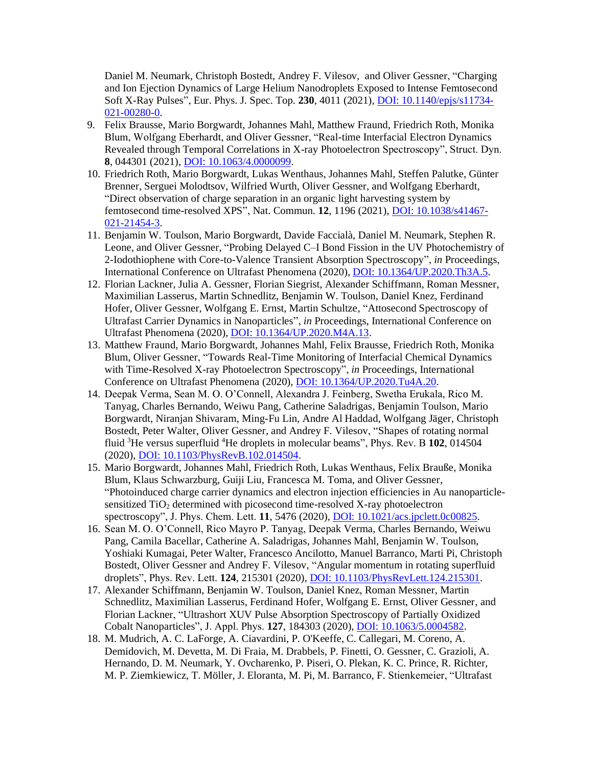Daniel M. Neumark, Christoph Bostedt, Andrey F. Vilesov, and Oliver Gessner, "Charging and Ion Ejection Dynamics of Large Helium Nanodroplets Exposed to Intense Femtosecond Soft X-Ray Pulses", Eur. Phys. J. Spec. Top. **230**, 4011 (2021), [DOI: 10.1140/epjs/s11734-](https://doi.org/10.1140/epjs/s11734-021-00280-0) [021-00280-0.](https://doi.org/10.1140/epjs/s11734-021-00280-0)

- 9. Felix Brausse, Mario Borgwardt, Johannes Mahl, Matthew Fraund, Friedrich Roth, Monika Blum, Wolfgang Eberhardt, and Oliver Gessner, "Real-time Interfacial Electron Dynamics Revealed through Temporal Correlations in X-ray Photoelectron Spectroscopy", Struct. Dyn. **8**, 044301 (2021)[, DOI: 10.1063/4.0000099.](https://doi.org/10.1063/4.0000099)
- 10. Friedrich Roth, Mario Borgwardt, Lukas Wenthaus, Johannes Mahl, Steffen Palutke, Günter Brenner, Serguei Molodtsov, Wilfried Wurth, Oliver Gessner, and Wolfgang Eberhardt, "Direct observation of charge separation in an organic light harvesting system by femtosecond time-resolved XPS", Nat. Commun. **12**, 1196 (2021)[, DOI: 10.1038/s41467-](https://www.nature.com/articles/s41467-021-21454-3) [021-21454-3.](https://www.nature.com/articles/s41467-021-21454-3)
- 11. Benjamin W. Toulson, Mario Borgwardt, Davide Faccialà, Daniel M. Neumark, Stephen R. Leone, and Oliver Gessner, "Probing Delayed C–I Bond Fission in the UV Photochemistry of 2-Iodothiophene with Core-to-Valence Transient Absorption Spectroscopy", *in* Proceedings, International Conference on Ultrafast Phenomena (2020), [DOI: 10.1364/UP.2020.Th3A.5.](https://www.osapublishing.org/abstract.cfm?uri=UP-2020-Th3A.5)
- 12. Florian Lackner, Julia A. Gessner, Florian Siegrist, Alexander Schiffmann, Roman Messner, Maximilian Lasserus, Martin Schnedlitz, Benjamin W. Toulson, Daniel Knez, Ferdinand Hofer, Oliver Gessner, Wolfgang E. Ernst, Martin Schultze, "Attosecond Spectroscopy of Ultrafast Carrier Dynamics in Nanoparticles", *in* Proceedings, International Conference on Ultrafast Phenomena (2020), [DOI: 10.1364/UP.2020.M4A.13.](https://www.osapublishing.org/abstract.cfm?uri=UP-2020-M4A.13)
- 13. Matthew Fraund, Mario Borgwardt, Johannes Mahl, Felix Brausse, Friedrich Roth, Monika Blum, Oliver Gessner, "Towards Real-Time Monitoring of Interfacial Chemical Dynamics with Time-Resolved X-ray Photoelectron Spectroscopy", *in* Proceedings, International Conference on Ultrafast Phenomena (2020), [DOI: 10.1364/UP.2020.Tu4A.20.](https://www.osapublishing.org/abstract.cfm?uri=UP-2020-Tu4A.20)
- 14. Deepak Verma, Sean M. O. O'Connell, Alexandra J. Feinberg, Swetha Erukala, Rico M. Tanyag, Charles Bernando, Weiwu Pang, Catherine Saladrigas, Benjamin Toulson, Mario Borgwardt, Niranjan Shivaram, Ming-Fu Lin, Andre Al Haddad, Wolfgang Jäger, Christoph Bostedt, Peter Walter, Oliver Gessner, and Andrey F. Vilesov, "Shapes of rotating normal fluid <sup>3</sup>He versus superfluid <sup>4</sup>He droplets in molecular beams", Phys. Rev. B **102**, 014504 (2020), [DOI: 10.1103/PhysRevB.102.014504.](https://link.aps.org/doi/10.1103/PhysRevB.102.014504)
- 15. Mario Borgwardt, Johannes Mahl, Friedrich Roth, Lukas Wenthaus, Felix Brauße, Monika Blum, Klaus Schwarzburg, Guiji Liu, Francesca M. Toma, and Oliver Gessner, "Photoinduced charge carrier dynamics and electron injection efficiencies in Au nanoparticlesensitized TiO<sub>2</sub> determined with picosecond time-resolved X-ray photoelectron spectroscopy", J. Phys. Chem. Lett. **11**, 5476 (2020)*,* [DOI: 10.1021/acs.jpclett.0c00825.](https://doi.org/10.1021/acs.jpclett.0c00825)
- 16. Sean M. O. O'Connell, Rico Mayro P. Tanyag, Deepak Verma, Charles Bernando, Weiwu Pang, Camila Bacellar, Catherine A. Saladrigas, Johannes Mahl, Benjamin W. Toulson, Yoshiaki Kumagai, Peter Walter, Francesco Ancilotto, Manuel Barranco, Marti Pi, Christoph Bostedt, Oliver Gessner and Andrey F. Vilesov, "Angular momentum in rotating superfluid droplets", Phys. Rev. Lett. **124**, 215301 (2020)[, DOI: 10.1103/PhysRevLett.124.215301.](https://doi.org/10.1103/PhysRevLett.124.215301)
- 17. Alexander Schiffmann, Benjamin W. Toulson, Daniel Knez, Roman Messner, Martin Schnedlitz, Maximilian Lasserus, Ferdinand Hofer, Wolfgang E. Ernst, Oliver Gessner, and Florian Lackner, "Ultrashort XUV Pulse Absorption Spectroscopy of Partially Oxidized Cobalt Nanoparticles", J. Appl. Phys. **127**, 184303 (2020), [DOI: 10.1063/5.0004582.](https://doi.org/10.1063/5.0004582)
- 18. M. Mudrich, A. C. LaForge, A. Ciavardini, P. O'Keeffe, C. Callegari, M. Coreno, A. Demidovich, M. Devetta, M. Di Fraia, M. Drabbels, P. Finetti, O. Gessner, C. Grazioli, A. Hernando, D. M. Neumark, Y. Ovcharenko, P. Piseri, O. Plekan, K. C. Prince, R. Richter, M. P. Ziemkiewicz, T. Möller, J. Eloranta, M. Pi, M. Barranco, F. Stienkemeier, "Ultrafast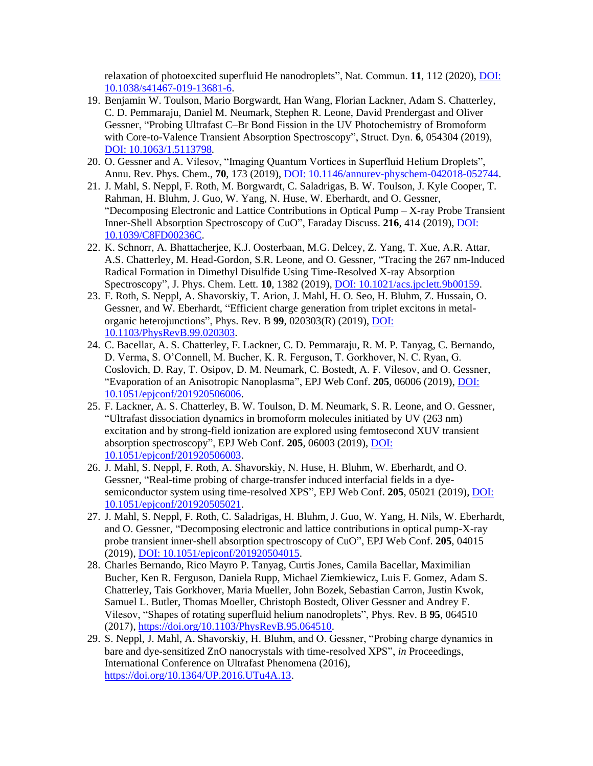relaxation of photoexcited superfluid He nanodroplets", Nat. Commun. **11**, 112 (2020)[, DOI:](https://www.nature.com/articles/s41467-019-13681-6)  [10.1038/s41467-019-13681-6.](https://www.nature.com/articles/s41467-019-13681-6)

- 19. Benjamin W. Toulson, Mario Borgwardt, Han Wang, Florian Lackner, Adam S. Chatterley, C. D. Pemmaraju, Daniel M. Neumark, Stephen R. Leone, David Prendergast and Oliver Gessner, "Probing Ultrafast C–Br Bond Fission in the UV Photochemistry of Bromoform with Core-to-Valence Transient Absorption Spectroscopy", Struct. Dyn. **6**, 054304 (2019), [DOI: 10.1063/1.5113798](https://aca.scitation.org/doi/full/10.1063/1.5113798)*.*
- 20. O. Gessner and A. Vilesov, "Imaging Quantum Vortices in Superfluid Helium Droplets", Annu. Rev. Phys. Chem., **70**, 173 (2019), [DOI: 10.1146/annurev-physchem-042018-052744.](https://www.annualreviews.org/doi/full/10.1146/annurev-physchem-042018-052744)
- 21. J. Mahl, S. Neppl, F. Roth, M. Borgwardt, C. Saladrigas, B. W. Toulson, J. Kyle Cooper, T. Rahman, H. Bluhm, J. Guo, W. Yang, N. Huse, W. Eberhardt, and O. Gessner, "Decomposing Electronic and Lattice Contributions in Optical Pump – X-ray Probe Transient Inner-Shell Absorption Spectroscopy of CuO", Faraday Discuss. **216**, 414 (2019)[, DOI:](https://pubs.rsc.org/en/content/articlelanding/2019/fd/c8fd00236c#!divAbstract)  [10.1039/C8FD00236C.](https://pubs.rsc.org/en/content/articlelanding/2019/fd/c8fd00236c#!divAbstract)
- 22. K. Schnorr, A. Bhattacherjee, K.J. Oosterbaan, M.G. Delcey, Z. Yang, T. Xue, A.R. Attar, A.S. Chatterley, M. Head-Gordon, S.R. Leone, and O. Gessner, "Tracing the 267 nm-Induced Radical Formation in Dimethyl Disulfide Using Time-Resolved X-ray Absorption Spectroscopy", J. Phys. Chem. Lett. **10**, 1382 (2019)[, DOI: 10.1021/acs.jpclett.9b00159.](https://doi.org/10.1021/acs.jpclett.9b00159)
- 23. F. Roth, S. Neppl, A. Shavorskiy, T. Arion, J. Mahl, H. O. Seo, H. Bluhm, Z. Hussain, O. Gessner, and W. Eberhardt, "Efficient charge generation from triplet excitons in metalorganic heterojunctions", Phys. Rev. B **99**, 020303(R) (2019), [DOI:](https://link.aps.org/doi/10.1103/PhysRevB.99.020303)  [10.1103/PhysRevB.99.020303.](https://link.aps.org/doi/10.1103/PhysRevB.99.020303)
- 24. C. Bacellar, A. S. Chatterley, F. Lackner, C. D. Pemmaraju, R. M. P. Tanyag, C. Bernando, D. Verma, S. O'Connell, M. Bucher, K. R. Ferguson, T. Gorkhover, N. C. Ryan, G. Coslovich, D. Ray, T. Osipov, D. M. Neumark, C. Bostedt, A. F. Vilesov, and O. Gessner, "Evaporation of an Anisotropic Nanoplasma", EPJ Web Conf. **205**, 06006 (2019), [DOI:](https://dx.doi.org/10.1051/epjconf/201920506006)  [10.1051/epjconf/201920506006.](https://dx.doi.org/10.1051/epjconf/201920506006)
- 25. F. Lackner, A. S. Chatterley, B. W. Toulson, D. M. Neumark, S. R. Leone, and O. Gessner, "Ultrafast dissociation dynamics in bromoform molecules initiated by UV (263 nm) excitation and by strong-field ionization are explored using femtosecond XUV transient absorption spectroscopy", EPJ Web Conf. **205**, 06003 (2019), [DOI:](https://dx.doi.org/10.1051/epjconf/201920506003)  [10.1051/epjconf/201920506003.](https://dx.doi.org/10.1051/epjconf/201920506003)
- 26. J. Mahl, S. Neppl, F. Roth, A. Shavorskiy, N. Huse, H. Bluhm, W. Eberhardt, and O. Gessner, "Real-time probing of charge-transfer induced interfacial fields in a dyesemiconductor system using time-resolved XPS", EPJ Web Conf. **205**, 05021 (2019), [DOI:](https://dx.doi.org/10.1051/epjconf/201920505021)  [10.1051/epjconf/201920505021.](https://dx.doi.org/10.1051/epjconf/201920505021)
- 27. J. Mahl, S. Neppl, F. Roth, C. Saladrigas, H. Bluhm, J. Guo, W. Yang, H. Nils, W. Eberhardt, and O. Gessner, "Decomposing electronic and lattice contributions in optical pump-X-ray probe transient inner-shell absorption spectroscopy of CuO", EPJ Web Conf. **205**, 04015 (2019), [DOI: 10.1051/epjconf/201920504015.](https://dx.doi.org/10.1051/epjconf/201920504015)
- 28. Charles Bernando, Rico Mayro P. Tanyag, Curtis Jones, Camila Bacellar, Maximilian Bucher, Ken R. Ferguson, Daniela Rupp, Michael Ziemkiewicz, Luis F. Gomez, Adam S. Chatterley, Tais Gorkhover, Maria Mueller, John Bozek, Sebastian Carron, Justin Kwok, Samuel L. Butler, Thomas Moeller, Christoph Bostedt, Oliver Gessner and Andrey F. Vilesov, "Shapes of rotating superfluid helium nanodroplets", Phys. Rev. B **95**, 064510 (2017), [https://doi.org/10.1103/PhysRevB.95.064510.](https://doi.org/10.1103/PhysRevB.95.064510)
- 29. S. Neppl, J. Mahl, A. Shavorskiy, H. Bluhm, and O. Gessner, "Probing charge dynamics in bare and dye-sensitized ZnO nanocrystals with time-resolved XPS", *in* Proceedings, International Conference on Ultrafast Phenomena (2016), [https://doi.org/10.1364/UP.2016.UTu4A.13.](https://doi.org/10.1364/UP.2016.UTu4A.13)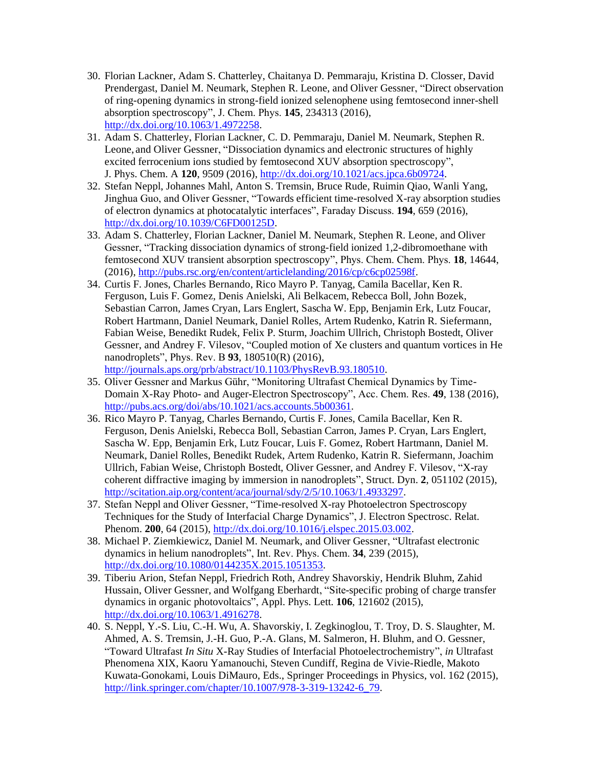- 30. Florian Lackner, Adam S. Chatterley, Chaitanya D. Pemmaraju, Kristina D. Closser, David Prendergast, Daniel M. Neumark, Stephen R. Leone, and Oliver Gessner, "Direct observation of ring-opening dynamics in strong-field ionized selenophene using femtosecond inner-shell absorption spectroscopy", J. Chem. Phys. **145**, 234313 (2016), [http://dx.doi.org/10.1063/1.4972258.](http://dx.doi.org/10.1063/1.4972258)
- 31. Adam S. Chatterley, Florian Lackner, C. D. Pemmaraju, Daniel M. Neumark, Stephen R. Leone, and Oliver Gessner, "Dissociation dynamics and electronic structures of highly excited ferrocenium ions studied by femtosecond XUV absorption spectroscopy", J. Phys. Chem. A **120**, 9509 (2016)[, http://dx.doi.org/10.1021/acs.jpca.6b09724.](http://dx.doi.org/10.1021/acs.jpca.6b09724)
- 32. Stefan Neppl, Johannes Mahl, Anton S. Tremsin, Bruce Rude, Ruimin Qiao, Wanli Yang, Jinghua Guo, and Oliver Gessner, "Towards efficient time-resolved X-ray absorption studies of electron dynamics at photocatalytic interfaces", Faraday Discuss. **194**, 659 (2016), [http://dx.doi.org/10.1039/C6FD00125D.](http://dx.doi.org/10.1039/C6FD00125D)
- 33. Adam S. Chatterley, Florian Lackner, Daniel M. Neumark, Stephen R. Leone, and Oliver Gessner, "Tracking dissociation dynamics of strong-field ionized 1,2-dibromoethane with femtosecond XUV transient absorption spectroscopy", Phys. Chem. Chem. Phys. **18**, 14644, (2016), [http://pubs.rsc.org/en/content/articlelanding/2016/cp/c6cp02598f.](http://pubs.rsc.org/en/content/articlelanding/2016/cp/c6cp02598f)
- 34. Curtis F. Jones, Charles Bernando, Rico Mayro P. Tanyag, Camila Bacellar, Ken R. Ferguson, Luis F. Gomez, Denis Anielski, Ali Belkacem, Rebecca Boll, John Bozek, Sebastian Carron, James Cryan, Lars Englert, Sascha W. Epp, Benjamin Erk, Lutz Foucar, Robert Hartmann, Daniel Neumark, Daniel Rolles, Artem Rudenko, Katrin R. Siefermann, Fabian Weise, Benedikt Rudek, Felix P. Sturm, Joachim Ullrich, Christoph Bostedt, Oliver Gessner, and Andrey F. Vilesov, "Coupled motion of Xe clusters and quantum vortices in He nanodroplets", Phys. Rev. B **93**, 180510(R) (2016), [http://journals.aps.org/prb/abstract/10.1103/PhysRevB.93.180510.](http://journals.aps.org/prb/abstract/10.1103/PhysRevB.93.180510)
- 35. Oliver Gessner and Markus Gühr, "Monitoring Ultrafast Chemical Dynamics by Time-Domain X-Ray Photo- and Auger-Electron Spectroscopy", Acc. Chem. Res. **49**, 138 (2016), [http://pubs.acs.org/doi/abs/10.1021/acs.accounts.5b00361.](http://pubs.acs.org/doi/abs/10.1021/acs.accounts.5b00361)
- 36. Rico Mayro P. Tanyag, Charles Bernando, Curtis F. Jones, Camila Bacellar, Ken R. Ferguson, Denis Anielski, Rebecca Boll, Sebastian Carron, James P. Cryan, Lars Englert, Sascha W. Epp, Benjamin Erk, Lutz Foucar, Luis F. Gomez, Robert Hartmann, Daniel M. Neumark, Daniel Rolles, Benedikt Rudek, Artem Rudenko, Katrin R. Siefermann, Joachim Ullrich, Fabian Weise, Christoph Bostedt, Oliver Gessner, and Andrey F. Vilesov, "X-ray coherent diffractive imaging by immersion in nanodroplets", Struct. Dyn. **2**, 051102 (2015), [http://scitation.aip.org/content/aca/journal/sdy/2/5/10.1063/1.4933297.](http://scitation.aip.org/content/aca/journal/sdy/2/5/10.1063/1.4933297)
- 37. Stefan Neppl and Oliver Gessner, "Time-resolved X-ray Photoelectron Spectroscopy Techniques for the Study of Interfacial Charge Dynamics", J. Electron Spectrosc. Relat. Phenom. **200**, 64 (2015), [http://dx.doi.org/10.1016/j.elspec.2015.03.002.](http://dx.doi.org/10.1016/j.elspec.2015.03.002)
- 38. Michael P. Ziemkiewicz, Daniel M. Neumark, and Oliver Gessner, "Ultrafast electronic dynamics in helium nanodroplets", Int. Rev. Phys. Chem. **34**, 239 (2015), [http://dx.doi.org/10.1080/0144235X.2015.1051353.](http://dx.doi.org/10.1080/0144235X.2015.1051353)
- 39. Tiberiu Arion, Stefan Neppl, Friedrich Roth, Andrey Shavorskiy, Hendrik Bluhm, Zahid Hussain, Oliver Gessner, and Wolfgang Eberhardt, "Site-specific probing of charge transfer dynamics in organic photovoltaics", Appl. Phys. Lett. **106**, 121602 (2015), [http://dx.doi.org/10.1063/1.4916278.](http://dx.doi.org/10.1063/1.4916278)
- 40. S. Neppl, Y.-S. Liu, C.-H. Wu, A. Shavorskiy, I. Zegkinoglou, T. Troy, D. S. Slaughter, M. Ahmed, A. S. Tremsin, J.-H. Guo, P.-A. Glans, M. Salmeron, H. Bluhm, and O. Gessner, "Toward Ultrafast *In Situ* X-Ray Studies of Interfacial Photoelectrochemistry", *in* Ultrafast Phenomena XIX, Kaoru Yamanouchi, Steven Cundiff, Regina de Vivie-Riedle, Makoto Kuwata-Gonokami, Louis DiMauro, Eds., Springer Proceedings in Physics, vol. 162 (2015), http://link.springer.com/chapter/10.1007/978-3-319-13242-6 79.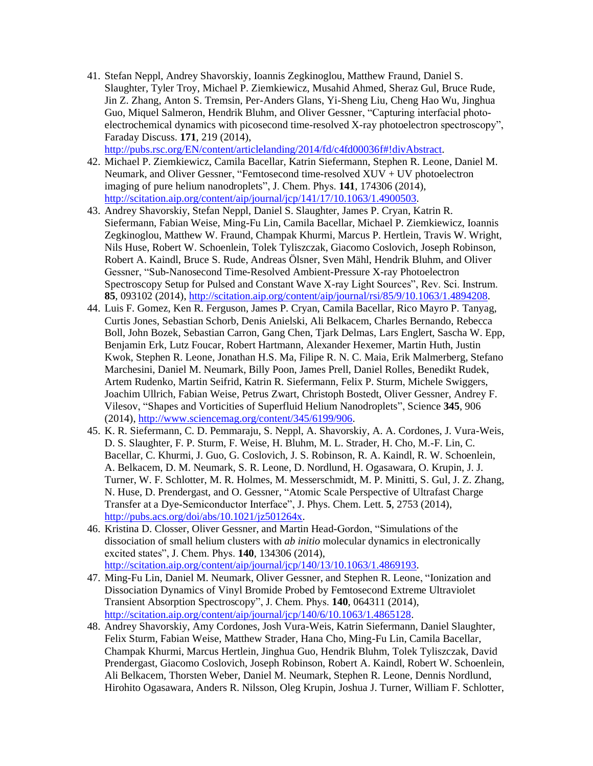41. Stefan Neppl, Andrey Shavorskiy, Ioannis Zegkinoglou, Matthew Fraund, Daniel S. Slaughter, Tyler Troy, Michael P. Ziemkiewicz, Musahid Ahmed, Sheraz Gul, Bruce Rude, Jin Z. Zhang, Anton S. Tremsin, Per-Anders Glans, Yi-Sheng Liu, Cheng Hao Wu, Jinghua Guo, Miquel Salmeron, Hendrik Bluhm, and Oliver Gessner, "Capturing interfacial photoelectrochemical dynamics with picosecond time-resolved X-ray photoelectron spectroscopy", Faraday Discuss. **171**, 219 (2014),

[http://pubs.rsc.org/EN/content/articlelanding/2014/fd/c4fd00036f#!divAbstract.](http://pubs.rsc.org/EN/content/articlelanding/2014/fd/c4fd00036f#!divAbstract)

- 42. Michael P. Ziemkiewicz, Camila Bacellar, Katrin Siefermann, Stephen R. Leone, Daniel M. Neumark, and Oliver Gessner, "Femtosecond time-resolved XUV + UV photoelectron imaging of pure helium nanodroplets", J. Chem. Phys. **141**, 174306 (2014), [http://scitation.aip.org/content/aip/journal/jcp/141/17/10.1063/1.4900503.](http://scitation.aip.org/content/aip/journal/jcp/141/17/10.1063/1.4900503)
- 43. Andrey Shavorskiy, Stefan Neppl, Daniel S. Slaughter, James P. Cryan, Katrin R. Siefermann, Fabian Weise, Ming-Fu Lin, Camila Bacellar, Michael P. Ziemkiewicz, Ioannis Zegkinoglou, Matthew W. Fraund, Champak Khurmi, Marcus P. Hertlein, Travis W. Wright, Nils Huse, Robert W. Schoenlein, Tolek Tyliszczak, Giacomo Coslovich, Joseph Robinson, Robert A. Kaindl, Bruce S. Rude, Andreas Ölsner, Sven Mähl, Hendrik Bluhm, and Oliver Gessner, "Sub-Nanosecond Time-Resolved Ambient-Pressure X-ray Photoelectron Spectroscopy Setup for Pulsed and Constant Wave X-ray Light Sources", Rev. Sci. Instrum. **85**, 093102 (2014), [http://scitation.aip.org/content/aip/journal/rsi/85/9/10.1063/1.4894208.](http://scitation.aip.org/content/aip/journal/rsi/85/9/10.1063/1.4894208)
- 44. Luis F. Gomez, Ken R. Ferguson, James P. Cryan, Camila Bacellar, Rico Mayro P. Tanyag, Curtis Jones, Sebastian Schorb, Denis Anielski, Ali Belkacem, Charles Bernando, Rebecca Boll, John Bozek, Sebastian Carron, Gang Chen, Tjark Delmas, Lars Englert, Sascha W. Epp, Benjamin Erk, Lutz Foucar, Robert Hartmann, Alexander Hexemer, Martin Huth, Justin Kwok, Stephen R. Leone, Jonathan H.S. Ma, Filipe R. N. C. Maia, Erik Malmerberg, Stefano Marchesini, Daniel M. Neumark, Billy Poon, James Prell, Daniel Rolles, Benedikt Rudek, Artem Rudenko, Martin Seifrid, Katrin R. Siefermann, Felix P. Sturm, Michele Swiggers, Joachim Ullrich, Fabian Weise, Petrus Zwart, Christoph Bostedt, Oliver Gessner, Andrey F. Vilesov, "Shapes and Vorticities of Superfluid Helium Nanodroplets", Science **345**, 906 (2014), [http://www.sciencemag.org/content/345/6199/906.](http://www.sciencemag.org/content/345/6199/906)
- 45. K. R. Siefermann, C. D. Pemmaraju, S. Neppl, A. Shavorskiy, A. A. Cordones, J. Vura-Weis, D. S. Slaughter, F. P. Sturm, F. Weise, H. Bluhm, M. L. Strader, H. Cho, M.-F. Lin, C. Bacellar, C. Khurmi, J. Guo, G. Coslovich, J. S. Robinson, R. A. Kaindl, R. W. Schoenlein, A. Belkacem, D. M. Neumark, S. R. Leone, D. Nordlund, H. Ogasawara, O. Krupin, J. J. Turner, W. F. Schlotter, M. R. Holmes, M. Messerschmidt, M. P. Minitti, S. Gul, J. Z. Zhang, N. Huse, D. Prendergast, and O. Gessner, "Atomic Scale Perspective of Ultrafast Charge Transfer at a Dye-Semiconductor Interface", J. Phys. Chem. Lett. **5**, 2753 (2014), [http://pubs.acs.org/doi/abs/10.1021/jz501264x.](http://pubs.acs.org/doi/abs/10.1021/jz501264x)
- 46. Kristina D. Closser, Oliver Gessner, and Martin Head-Gordon, "Simulations of the dissociation of small helium clusters with *ab initio* molecular dynamics in electronically excited states", J. Chem. Phys. **140**, 134306 (2014), [http://scitation.aip.org/content/aip/journal/jcp/140/13/10.1063/1.4869193.](http://scitation.aip.org/content/aip/journal/jcp/140/13/10.1063/1.4869193)
- 47. Ming-Fu Lin, Daniel M. Neumark, Oliver Gessner, and Stephen R. Leone, "Ionization and Dissociation Dynamics of Vinyl Bromide Probed by Femtosecond Extreme Ultraviolet Transient Absorption Spectroscopy", J. Chem. Phys. **140**, 064311 (2014), [http://scitation.aip.org/content/aip/journal/jcp/140/6/10.1063/1.4865128.](http://scitation.aip.org/content/aip/journal/jcp/140/6/10.1063/1.4865128)
- 48. Andrey Shavorskiy, Amy Cordones, Josh Vura-Weis, Katrin Siefermann, Daniel Slaughter, Felix Sturm, Fabian Weise, Matthew Strader, Hana Cho, Ming-Fu Lin, Camila Bacellar, Champak Khurmi, Marcus Hertlein, Jinghua Guo, Hendrik Bluhm, Tolek Tyliszczak, David Prendergast, Giacomo Coslovich, Joseph Robinson, Robert A. Kaindl, Robert W. Schoenlein, Ali Belkacem, Thorsten Weber, Daniel M. Neumark, Stephen R. Leone, Dennis Nordlund, Hirohito Ogasawara, Anders R. Nilsson, Oleg Krupin, Joshua J. Turner, William F. Schlotter,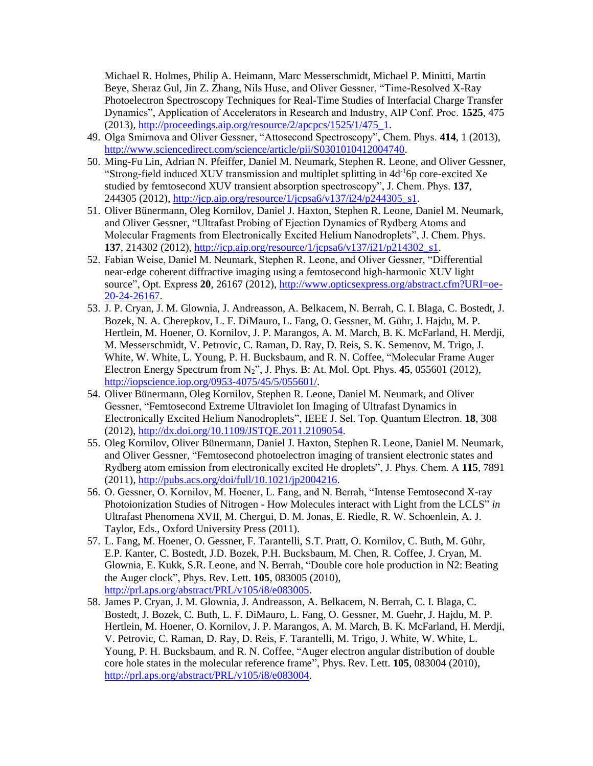Michael R. Holmes, Philip A. Heimann, Marc Messerschmidt, Michael P. Minitti, Martin Beye, Sheraz Gul, Jin Z. Zhang, Nils Huse, and Oliver Gessner, "Time-Resolved X-Ray Photoelectron Spectroscopy Techniques for Real-Time Studies of Interfacial Charge Transfer Dynamics", Application of Accelerators in Research and Industry, AIP Conf. Proc. **1525**, 475 (2013), [http://proceedings.aip.org/resource/2/apcpcs/1525/1/475\\_1.](http://proceedings.aip.org/resource/2/apcpcs/1525/1/475_1)

- 49. Olga Smirnova and Oliver Gessner, "Attosecond Spectroscopy", Chem. Phys. **414**, 1 (2013), [http://www.sciencedirect.com/science/article/pii/S0301010412004740.](http://www.sciencedirect.com/science/article/pii/S0301010412004740)
- 50. Ming-Fu Lin, Adrian N. Pfeiffer, Daniel M. Neumark, Stephen R. Leone, and Oliver Gessner, "Strong-field induced XUV transmission and multiplet splitting in  $4d^{-1}$ 6p core-excited Xe studied by femtosecond XUV transient absorption spectroscopy", J. Chem. Phys. **137**, 244305 (2012)[, http://jcp.aip.org/resource/1/jcpsa6/v137/i24/p244305\\_s1.](http://jcp.aip.org/resource/1/jcpsa6/v137/i24/p244305_s1)
- 51. Oliver Bünermann, Oleg Kornilov, Daniel J. Haxton, Stephen R. Leone, Daniel M. Neumark, and Oliver Gessner, "Ultrafast Probing of Ejection Dynamics of Rydberg Atoms and Molecular Fragments from Electronically Excited Helium Nanodroplets", J. Chem. Phys. **137**, 214302 (2012)[, http://jcp.aip.org/resource/1/jcpsa6/v137/i21/p214302\\_s1.](http://jcp.aip.org/resource/1/jcpsa6/v137/i21/p214302_s1)
- 52. Fabian Weise, Daniel M. Neumark, Stephen R. Leone, and Oliver Gessner, "Differential near-edge coherent diffractive imaging using a femtosecond high-harmonic XUV light source", Opt. Express **20**, 26167 (2012), [http://www.opticsexpress.org/abstract.cfm?URI=oe-](http://www.opticsexpress.org/abstract.cfm?URI=oe-20-24-26167)[20-24-26167.](http://www.opticsexpress.org/abstract.cfm?URI=oe-20-24-26167)
- 53. J. P. Cryan, J. M. Glownia, J. Andreasson, A. Belkacem, N. Berrah, C. I. Blaga, C. Bostedt, J. Bozek, N. A. Cherepkov, L. F. DiMauro, L. Fang, O. Gessner, M. Gühr, J. Hajdu, M. P. Hertlein, M. Hoener, O. Kornilov, J. P. Marangos, A. M. March, B. K. McFarland, H. Merdji, M. Messerschmidt, V. Petrovic, C. Raman, D. Ray, D. Reis, S. K. Semenov, M. Trigo, J. White, W. White, L. Young, P. H. Bucksbaum, and R. N. Coffee, "Molecular Frame Auger Electron Energy Spectrum from  $N_2$ ", J. Phys. B: At. Mol. Opt. Phys.  $45, 055601$  (2012), [http://iopscience.iop.org/0953-4075/45/5/055601/.](http://iopscience.iop.org/0953-4075/45/5/055601/)
- 54. Oliver Bünermann, Oleg Kornilov, Stephen R. Leone, Daniel M. Neumark, and Oliver Gessner, "Femtosecond Extreme Ultraviolet Ion Imaging of Ultrafast Dynamics in Electronically Excited Helium Nanodroplets", IEEE J. Sel. Top. Quantum Electron. **18**, 308 (2012), [http://dx.doi.org/10.1109/JSTQE.2011.2109054.](http://dx.doi.org/10.1109/JSTQE.2011.2109054)
- 55. Oleg Kornilov, Oliver Bünermann, Daniel J. Haxton, Stephen R. Leone, Daniel M. Neumark, and Oliver Gessner, "Femtosecond photoelectron imaging of transient electronic states and Rydberg atom emission from electronically excited He droplets", J. Phys. Chem. A **115**, 7891 (2011), [http://pubs.acs.org/doi/full/10.1021/jp2004216.](http://pubs.acs.org/doi/full/10.1021/jp2004216)
- 56. O. Gessner, O. Kornilov, M. Hoener, L. Fang, and N. Berrah, "Intense Femtosecond X-ray Photoionization Studies of Nitrogen - How Molecules interact with Light from the LCLS" *in* Ultrafast Phenomena XVII, M. Chergui, D. M. Jonas, E. Riedle, R. W. Schoenlein, A. J. Taylor, Eds., Oxford University Press (2011).
- 57. L. Fang, M. Hoener, O. Gessner, F. Tarantelli, S.T. Pratt, O. Kornilov, C. Buth, M. Gühr, E.P. Kanter, C. Bostedt, J.D. Bozek, P.H. Bucksbaum, M. Chen, R. Coffee, J. Cryan, M. Glownia, E. Kukk, S.R. Leone, and N. Berrah, "Double core hole production in N2: Beating the Auger clock", Phys. Rev. Lett. **105**, 083005 (2010), [http://prl.aps.org/abstract/PRL/v105/i8/e083005.](http://prl.aps.org/abstract/PRL/v105/i8/e083005)
- 58. James P. Cryan, J. M. Glownia, J. Andreasson, A. Belkacem, N. Berrah, C. I. Blaga, C. Bostedt, J. Bozek, C. Buth, L. F. DiMauro, L. Fang, O. Gessner, M. Guehr, J. Hajdu, M. P. Hertlein, M. Hoener, O. Kornilov, J. P. Marangos, A. M. March, B. K. McFarland, H. Merdji, V. Petrovic, C. Raman, D. Ray, D. Reis, F. Tarantelli, M. Trigo, J. White, W. White, L. Young, P. H. Bucksbaum, and R. N. Coffee, "Auger electron angular distribution of double core hole states in the molecular reference frame", Phys. Rev. Lett. **105**, 083004 (2010), [http://prl.aps.org/abstract/PRL/v105/i8/e083004.](http://prl.aps.org/abstract/PRL/v105/i8/e083004)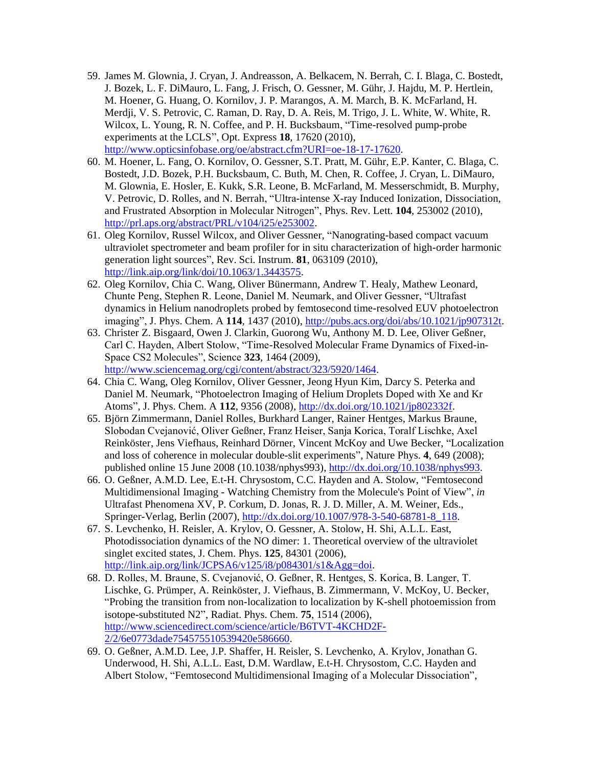- 59. James M. Glownia, J. Cryan, J. Andreasson, A. Belkacem, N. Berrah, C. I. Blaga, C. Bostedt, J. Bozek, L. F. DiMauro, L. Fang, J. Frisch, O. Gessner, M. Gühr, J. Hajdu, M. P. Hertlein, M. Hoener, G. Huang, O. Kornilov, J. P. Marangos, A. M. March, B. K. McFarland, H. Merdji, V. S. Petrovic, C. Raman, D. Ray, D. A. Reis, M. Trigo, J. L. White, W. White, R. Wilcox, L. Young, R. N. Coffee, and P. H. Bucksbaum, "Time-resolved pump-probe experiments at the LCLS", Opt. Express **18**, 17620 (2010), [http://www.opticsinfobase.org/oe/abstract.cfm?URI=oe-18-17-17620.](http://www.opticsinfobase.org/oe/abstract.cfm?URI=oe-18-17-17620)
- 60. M. Hoener, L. Fang, O. Kornilov, O. Gessner, S.T. Pratt, M. Gühr, E.P. Kanter, C. Blaga, C. Bostedt, J.D. Bozek, P.H. Bucksbaum, C. Buth, M. Chen, R. Coffee, J. Cryan, L. DiMauro, M. Glownia, E. Hosler, E. Kukk, S.R. Leone, B. McFarland, M. Messerschmidt, B. Murphy, V. Petrovic, D. Rolles, and N. Berrah, "Ultra-intense X-ray Induced Ionization, Dissociation, and Frustrated Absorption in Molecular Nitrogen", Phys. Rev. Lett. **104**, 253002 (2010), [http://prl.aps.org/abstract/PRL/v104/i25/e253002.](http://prl.aps.org/abstract/PRL/v104/i25/e253002)
- 61. Oleg Kornilov, Russel Wilcox, and Oliver Gessner, "Nanograting-based compact vacuum ultraviolet spectrometer and beam profiler for in situ characterization of high-order harmonic generation light sources", Rev. Sci. Instrum. **81**, 063109 (2010), [http://link.aip.org/link/doi/10.1063/1.3443575.](http://link.aip.org/link/doi/10.1063/1.3443575)
- 62. Oleg Kornilov, Chia C. Wang, Oliver Bünermann, Andrew T. Healy, Mathew Leonard, Chunte Peng, Stephen R. Leone, Daniel M. Neumark, and Oliver Gessner, "Ultrafast dynamics in Helium nanodroplets probed by femtosecond time-resolved EUV photoelectron imaging", J. Phys. Chem. A **114**, 1437 (2010), [http://pubs.acs.org/doi/abs/10.1021/jp907312t.](http://pubs.acs.org/doi/abs/10.1021/jp907312t)
- 63. Christer Z. Bisgaard, Owen J. Clarkin, Guorong Wu, Anthony M. D. Lee, Oliver Geßner, Carl C. Hayden, Albert Stolow, "Time-Resolved Molecular Frame Dynamics of Fixed-in-Space CS2 Molecules", Science **323**, 1464 (2009), [http://www.sciencemag.org/cgi/content/abstract/323/5920/1464.](http://www.sciencemag.org/cgi/content/abstract/323/5920/1464)
- 64. Chia C. Wang, Oleg Kornilov, Oliver Gessner, Jeong Hyun Kim, Darcy S. Peterka and Daniel M. Neumark, "Photoelectron Imaging of Helium Droplets Doped with Xe and Kr Atoms", J. Phys. Chem. A **112**, 9356 (2008), [http://dx.doi.org/10.1021/jp802332f.](http://dx.doi.org/10.1021/jp802332f)
- 65. Björn Zimmermann, Daniel Rolles, Burkhard Langer, Rainer Hentges, Markus Braune, Slobodan Cvejanović, Oliver Geßner, Franz Heiser, Sanja Korica, Toralf Lischke, Axel Reinköster, Jens Viefhaus, Reinhard Dörner, Vincent McKoy and Uwe Becker, "Localization and loss of coherence in molecular double-slit experiments", Nature Phys. **4**, 649 (2008); published online 15 June 2008 (10.1038/nphys993), [http://dx.doi.org/10.1038/nphys993.](http://dx.doi.org/10.1038/nphys993)
- 66. O. Geßner, A.M.D. Lee, E.t-H. Chrysostom, C.C. Hayden and A. Stolow, "Femtosecond Multidimensional Imaging - Watching Chemistry from the Molecule's Point of View", *in* Ultrafast Phenomena XV, P. Corkum, D. Jonas, R. J. D. Miller, A. M. Weiner, Eds., Springer-Verlag, Berlin (2007), [http://dx.doi.org/10.1007/978-3-540-68781-8\\_118.](http://dx.doi.org/10.1007/978-3-540-68781-8_118)
- 67. S. Levchenko, H. Reisler, A. Krylov, O. Gessner, A. Stolow, H. Shi, A.L.L. East, Photodissociation dynamics of the NO dimer: 1. Theoretical overview of the ultraviolet singlet excited states, J. Chem. Phys. **125**, 84301 (2006), [http://link.aip.org/link/JCPSA6/v125/i8/p084301/s1&Agg=doi.](http://link.aip.org/link/JCPSA6/v125/i8/p084301/s1&Agg=doi)
- 68. D. Rolles, M. Braune, S. Cvejanović, O. Geßner, R. Hentges, S. Korica, B. Langer, T. Lischke, G. Prümper, A. Reinköster, J. Viefhaus, B. Zimmermann, V. McKoy, U. Becker, "Probing the transition from non-localization to localization by K-shell photoemission from isotope-substituted N2", Radiat. Phys. Chem. **75**, 1514 (2006), [http://www.sciencedirect.com/science/article/B6TVT-4KCHD2F-](http://www.sciencedirect.com/science/article/B6TVT-4KCHD2F-2/2/6e0773dade754575510539420e586660)[2/2/6e0773dade754575510539420e586660.](http://www.sciencedirect.com/science/article/B6TVT-4KCHD2F-2/2/6e0773dade754575510539420e586660)
- 69. O. Geßner, A.M.D. Lee, J.P. Shaffer, H. Reisler, S. Levchenko, A. Krylov, Jonathan G. Underwood, H. Shi, A.L.L. East, D.M. Wardlaw, E.t-H. Chrysostom, C.C. Hayden and Albert Stolow, "Femtosecond Multidimensional Imaging of a Molecular Dissociation",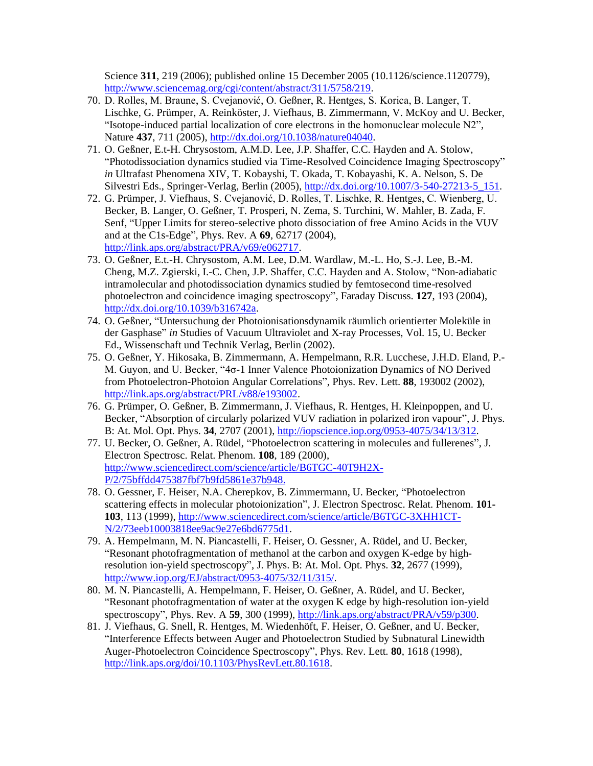Science **311**, 219 (2006); published online 15 December 2005 (10.1126/science.1120779), [http://www.sciencemag.org/cgi/content/abstract/311/5758/219.](http://www.sciencemag.org/cgi/content/abstract/311/5758/219)

- 70. D. Rolles, M. Braune, S. Cvejanović, O. Geßner, R. Hentges, S. Korica, B. Langer, T. Lischke, G. Prümper, A. Reinköster, J. Viefhaus, B. Zimmermann, V. McKoy and U. Becker, "Isotope-induced partial localization of core electrons in the homonuclear molecule N2", Nature **437**, 711 (2005)[, http://dx.doi.org/10.1038/nature04040.](http://dx.doi.org/10.1038/nature04040)
- 71. O. Geßner, E.t-H. Chrysostom, A.M.D. Lee, J.P. Shaffer, C.C. Hayden and A. Stolow, "Photodissociation dynamics studied via Time-Resolved Coincidence Imaging Spectroscopy" *in* Ultrafast Phenomena XIV, T. Kobayshi, T. Okada, T. Kobayashi, K. A. Nelson, S. De Silvestri Eds., Springer-Verlag, Berlin (2005), [http://dx.doi.org/10.1007/3-540-27213-5\\_151.](http://dx.doi.org/10.1007/3-540-27213-5_151)
- 72. G. Prümper, J. Viefhaus, S. Cvejanović, D. Rolles, T. Lischke, R. Hentges, C. Wienberg, U. Becker, B. Langer, O. Geßner, T. Prosperi, N. Zema, S. Turchini, W. Mahler, B. Zada, F. Senf, "Upper Limits for stereo-selective photo dissociation of free Amino Acids in the VUV and at the C1s-Edge", Phys. Rev. A **69**, 62717 (2004), [http://link.aps.org/abstract/PRA/v69/e062717.](http://link.aps.org/abstract/PRA/v69/e062717)
- 73. O. Geßner, E.t.-H. Chrysostom, A.M. Lee, D.M. Wardlaw, M.-L. Ho, S.-J. Lee, B.-M. Cheng, M.Z. Zgierski, I.-C. Chen, J.P. Shaffer, C.C. Hayden and A. Stolow, "Non-adiabatic intramolecular and photodissociation dynamics studied by femtosecond time-resolved photoelectron and coincidence imaging spectroscopy", Faraday Discuss. **127**, 193 (2004), [http://dx.doi.org/10.1039/b316742a.](http://dx.doi.org/10.1039/b316742a)
- 74. O. Geßner, "Untersuchung der Photoionisationsdynamik räumlich orientierter Moleküle in der Gasphase" *in* Studies of Vacuum Ultraviolet and X-ray Processes, Vol. 15, U. Becker Ed., Wissenschaft und Technik Verlag, Berlin (2002).
- 75. O. Geßner, Y. Hikosaka, B. Zimmermann, A. Hempelmann, R.R. Lucchese, J.H.D. Eland, P.- M. Guyon, and U. Becker, "4σ-1 Inner Valence Photoionization Dynamics of NO Derived from Photoelectron-Photoion Angular Correlations", Phys. Rev. Lett. **88**, 193002 (2002), [http://link.aps.org/abstract/PRL/v88/e193002.](http://link.aps.org/abstract/PRL/v88/e193002)
- 76. G. Prümper, O. Geßner, B. Zimmermann, J. Viefhaus, R. Hentges, H. Kleinpoppen, and U. Becker, "Absorption of circularly polarized VUV radiation in polarized iron vapour", J. Phys. B: At. Mol. Opt. Phys. **34**, 2707 (2001), [http://iopscience.iop.org/0953-4075/34/13/312.](http://iopscience.iop.org/0953-4075/34/13/312)
- 77. U. Becker, O. Geßner, A. Rüdel, "Photoelectron scattering in molecules and fullerenes", J. Electron Spectrosc. Relat. Phenom. **108**, 189 (2000), [http://www.sciencedirect.com/science/article/B6TGC-40T9H2X-](http://www.sciencedirect.com/science/article/B6TGC-40T9H2X-P/2/75bffdd475387fbf7b9fd5861e37b948)[P/2/75bffdd475387fbf7b9fd5861e37b948.](http://www.sciencedirect.com/science/article/B6TGC-40T9H2X-P/2/75bffdd475387fbf7b9fd5861e37b948)
- 78. O. Gessner, F. Heiser, N.A. Cherepkov, B. Zimmermann, U. Becker, "Photoelectron scattering effects in molecular photoionization", J. Electron Spectrosc. Relat. Phenom. **101- 103**, 113 (1999), [http://www.sciencedirect.com/science/article/B6TGC-3XHH1CT-](http://www.sciencedirect.com/science/article/B6TGC-3XHH1CT-N/2/73eeb10003818ee9ac9e27e6bd6775d1)[N/2/73eeb10003818ee9ac9e27e6bd6775d1.](http://www.sciencedirect.com/science/article/B6TGC-3XHH1CT-N/2/73eeb10003818ee9ac9e27e6bd6775d1)
- 79. A. Hempelmann, M. N. Piancastelli, F. Heiser, O. Gessner, A. Rüdel, and U. Becker, "Resonant photofragmentation of methanol at the carbon and oxygen K-edge by highresolution ion-yield spectroscopy", J. Phys. B: At. Mol. Opt. Phys. **32**, 2677 (1999), [http://www.iop.org/EJ/abstract/0953-4075/32/11/315/.](http://www.iop.org/EJ/abstract/0953-4075/32/11/315/)
- 80. M. N. Piancastelli, A. Hempelmann, F. Heiser, O. Geßner, A. Rüdel, and U. Becker, "Resonant photofragmentation of water at the oxygen K edge by high-resolution ion-yield spectroscopy", Phys. Rev. A **59**, 300 (1999), [http://link.aps.org/abstract/PRA/v59/p300.](http://link.aps.org/abstract/PRA/v59/p300)
- 81. J. Viefhaus, G. Snell, R. Hentges, M. Wiedenhöft, F. Heiser, O. Geßner, and U. Becker, "Interference Effects between Auger and Photoelectron Studied by Subnatural Linewidth Auger-Photoelectron Coincidence Spectroscopy", Phys. Rev. Lett. **80**, 1618 (1998), [http://link.aps.org/doi/10.1103/PhysRevLett.80.1618.](http://link.aps.org/doi/10.1103/PhysRevLett.80.1618)